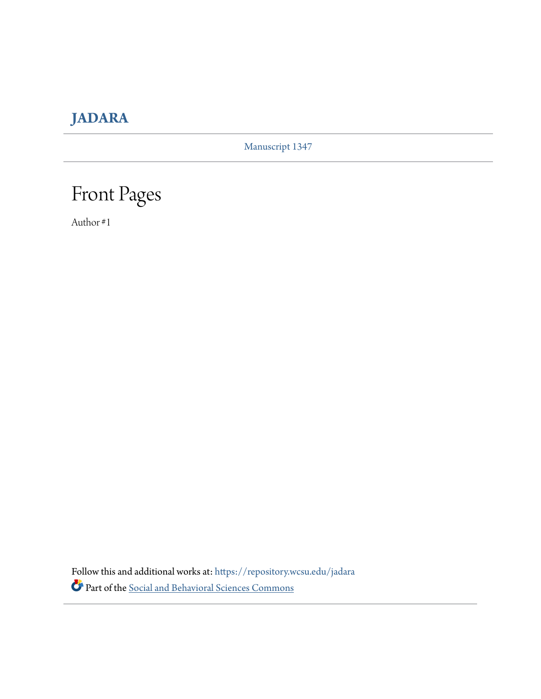### **[JADARA](https://repository.wcsu.edu/jadara?utm_source=repository.wcsu.edu%2Fjadara%2Fvol51%2Fiss2%2F1&utm_medium=PDF&utm_campaign=PDFCoverPages)**

Manuscript 1347

## Front Pages

Author #1

Follow this and additional works at: [https://repository.wcsu.edu/jadara](https://repository.wcsu.edu/jadara?utm_source=repository.wcsu.edu%2Fjadara%2Fvol51%2Fiss2%2F1&utm_medium=PDF&utm_campaign=PDFCoverPages) Part of the [Social and Behavioral Sciences Commons](http://network.bepress.com/hgg/discipline/316?utm_source=repository.wcsu.edu%2Fjadara%2Fvol51%2Fiss2%2F1&utm_medium=PDF&utm_campaign=PDFCoverPages)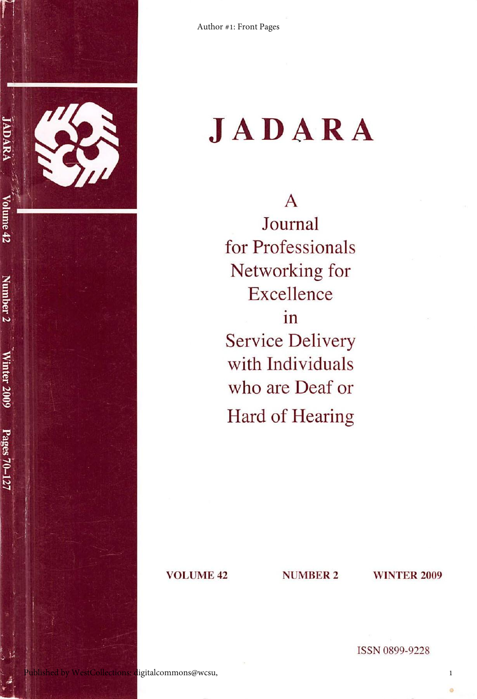

# **JADARA**

A Journal for Professionals Networking for Excellence in Service Delivery with Individuals who are Deaf or Hard of Hearing

VOLUME 42 NUMBER 2 WINTER 2009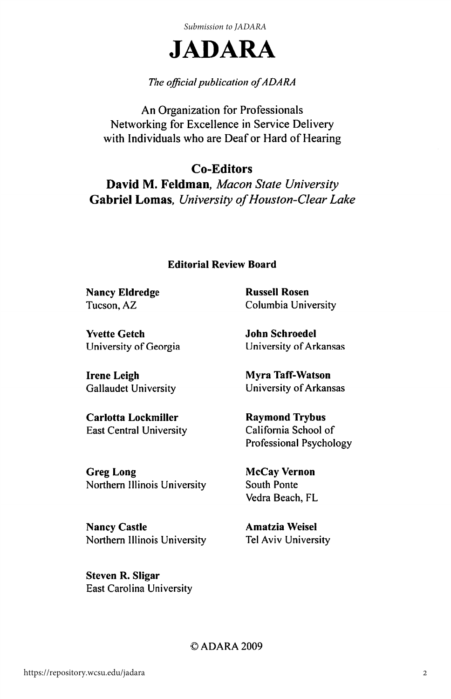*Submission to JADARA*



### The official publication of ADARA

An Organization for Professionals Networking for Excellence in Service Delivery with Individuals who are Deaf or Hard of Hearing

Co-Editors David M. Feldman, Macon State University Gabriel Lomas, University of Houston-Clear Lake

#### Editorial Review Board

Nancy Eldredge Tucson, AZ

Yvette Getch University of Georgia

Irene Leigh Gallaudet University

Carlotta Lockmiller East Central University

Greg Long Northern Illinois University

Nancy Castle Northern Illinois University

Steven R. Sligar East Carolina University Russell Rosen Columbia University

John Schroedel University of Arkansas

Myra Taff-Watson University of Arkansas

Raymond Trybus California School of Professional Psychology

McCay Vernon South Ponte Vedra Beach, FL

Amatzia Weisel Tel Aviv University

©ADARA 2009